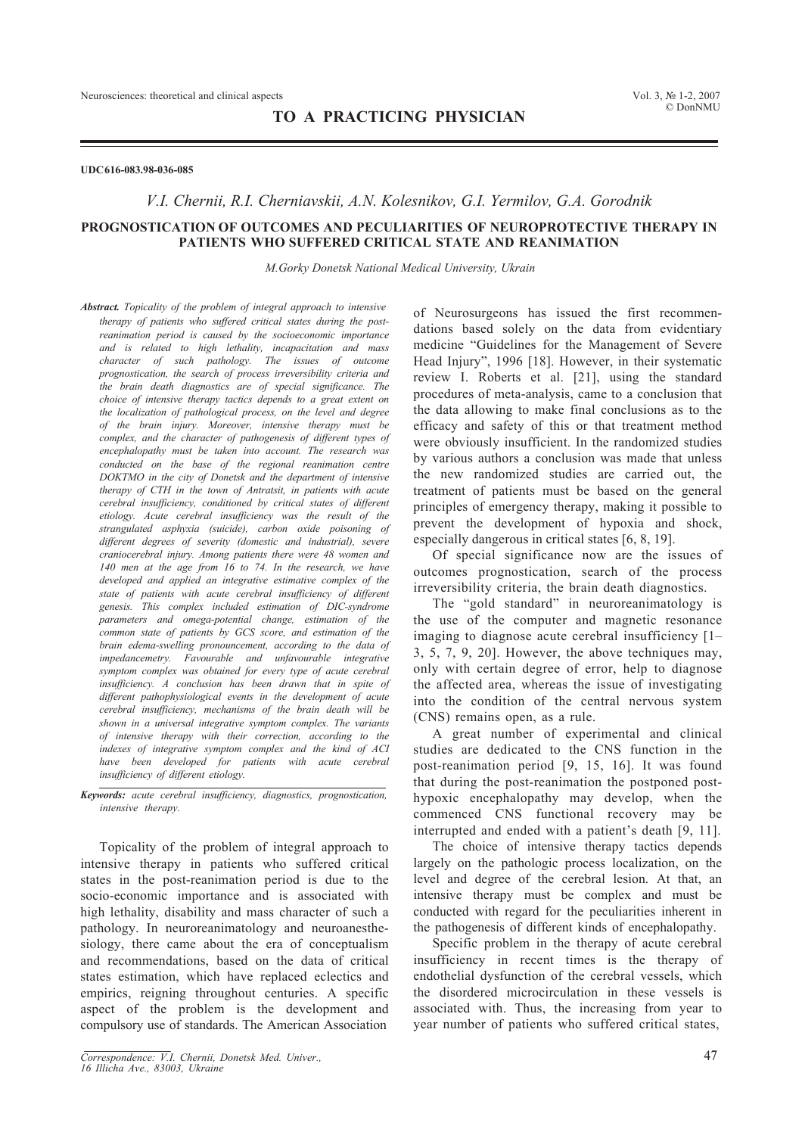### **UDC 616-083.98-036-085**

### *V.I. Chernii, R.I. Cherniavskii, А.N. Kolesnikov, G.I. Yermilov, G.А. Gorodnik*

## **PROGNOSTICATION OF OUTCOMES AND PECULIARITIES OF NEUROPROTECTIVE THERAPY IN PATIENTS WHO SUFFERED CRITICAL STATE AND REANIMATION**

*M.Gorky Donetsk National Medical University, Ukrain*

*Abstract. Topicality of the problem of integral approach to intensive therapy of patients who suffered critical states during the postreanimation period is caused by the socioeconomic importance and is related to high lethality, incapacitation and mass character of such pathology. The issues of outcome prognostication, the search of process irreversibility criteria and the brain death diagnostics are of special significance. The choice of intensive therapy tactics depends to a great extent on the localization of pathological process, on the level and degree of the brain injury. Moreover, intensive therapy must be complex, and the character of pathogenesis of different types of encephalopathy must be taken into account. The research was conducted on the base of the regional reanimation centre DOKTMO in the city of Donetsk and the department of intensive therapy of CTH in the town of Antratsit, in patients with acute cerebral insufficiency, conditioned by critical states of different etiology. Acute cerebral insufficiency was the result of the strangulated asphyxia (suicide), carbon oxide poisoning of different degrees of severity (domestic and industrial), severe craniocerebral injury. Among patients there were 48 women and 140 men at the age from 16 to 74. In the research, we have developed and applied an integrative estimative complex of the state of patients with acute cerebral insufficiency of different genesis. This complex included estimation of DIC-syndrome parameters and omega-potential change, estimation of the common state of patients by GCS score, and estimation of the brain edema-swelling pronouncement, according to the data of impedancemetry. Favourable and unfavourable integrative symptom complex was obtained for every type of acute cerebral insufficiency. A conclusion has been drawn that in spite of different pathophysiological events in the development of acute cerebral insufficiency, mechanisms of the brain death will be shown in a universal integrative symptom complex. The variants of intensive therapy with their correction, according to the indexes of integrative symptom complex and the kind of ACI have been developed for patients with acute cerebral insufficiency of different etiology.*

*Keywords: acute cerebral insufficiency, diagnostics, prognostication, intensive therany.* 

Topicality of the problem of integral approach to intensive therapy in patients who suffered critical states in the post-reanimation period is due to the socio-economic importance and is associated with high lethality, disability and mass character of such a pathology. In neuroreanimatology and neuroanesthesiology, there came about the era of conceptualism and recommendations, based on the data of critical states estimation, which have replaced eclectics and empirics, reigning throughout centuries. A specific aspect of the problem is the development and compulsory use of standards. The American Association

*Correspondence: V.I. Chernii, Donetsk Med. Univer.,* 47 *16 Illicha Ave., 83003, Ukraine*

of Neurosurgeons has issued the first recommendations based solely on the data from evidentiary medicine "Guidelines for the Management of Severe Head Injury", 1996 [18]. However, in their systematic review I. Roberts et al. [21], using the standard procedures of meta-analysis, came to a conclusion that the data allowing to make final conclusions as to the efficacy and safety of this or that treatment method were obviously insufficient. In the randomized studies by various authors a conclusion was made that unless the new randomized studies are carried out, the treatment of patients must be based on the general principles of emergency therapy, making it possible to prevent the development of hypoxia and shock, especially dangerous in critical states [6, 8, 19].

Of special significance now are the issues of outcomes prognostication, search of the process irreversibility criteria, the brain death diagnostics.

The "gold standard" in neuroreanimatology is the use of the computer and magnetic resonance imaging to diagnose acute cerebral insufficiency [1– 3, 5, 7, 9, 20]. However, the above techniques may, only with certain degree of error, help to diagnose the affected area, whereas the issue of investigating into the condition of the central nervous system (CNS) remains open, as a rule.

A great number of experimental and clinical studies are dedicated to the CNS function in the post-reanimation period [9, 15, 16]. It was found that during the post-reanimation the postponed posthypoxic encephalopathy may develop, when the commenced CNS functional recovery may be interrupted and ended with a patient's death [9, 11].

The choice of intensive therapy tactics depends largely on the pathologic process localization, on the level and degree of the cerebral lesion. At that, an intensive therapy must be complex and must be conducted with regard for the peculiarities inherent in the pathogenesis of different kinds of encephalopathy.

Specific problem in the therapy of acute cerebral insufficiency in recent times is the therapy of endothelial dysfunction of the cerebral vessels, which the disordered microcirculation in these vessels is associated with. Thus, the increasing from year to year number of patients who suffered critical states,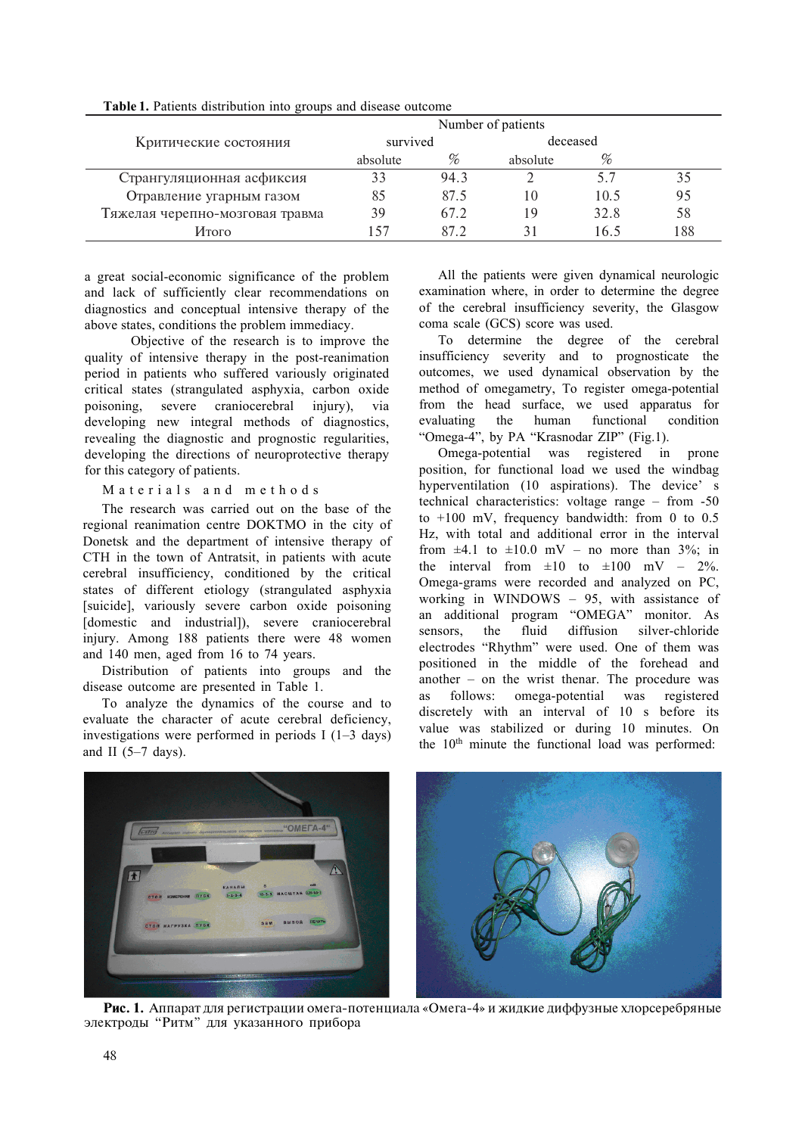|                                 | Number of patients |      |          |      |     |
|---------------------------------|--------------------|------|----------|------|-----|
| Критические состояния           | survived           |      | deceased |      |     |
|                                 | absolute           |      | absolute | %    |     |
| Странгуляционная асфиксия       | 33                 | 94.3 |          |      | 35  |
| Отравление угарным газом        | 85                 | 87.5 | 10       | 10.5 | 95  |
| Тяжелая черепно-мозговая травма | 39                 | 67.2 | 19       | 32.8 | 58  |
| Итого                           |                    | 87 2 |          | 16.5 | 188 |

**Table 1.** Patients distribution into groups and disease outcome

a great social-economic significance of the problem and lack of sufficiently clear recommendations on diagnostics and conceptual intensive therapy of the above states, conditions the problem immediacy.

 Objective of the research is to improve the quality of intensive therapy in the post-reanimation period in patients who suffered variously originated critical states (strangulated asphyxia, carbon oxide poisoning, severe craniocerebral injury), via developing new integral methods of diagnostics, revealing the diagnostic and prognostic regularities, developing the directions of neuroprotective therapy for this category of patients.

Materials and methods

The research was carried out on the base of the regional reanimation centre DOKTMO in the city of Donetsk and the department of intensive therapy of CTH in the town of Antratsit, in patients with acute cerebral insufficiency, conditioned by the critical states of different etiology (strangulated asphyxia [suicide], variously severe carbon oxide poisoning [domestic and industrial]), severe craniocerebral injury. Among 188 patients there were 48 women and 140 men, aged from 16 to 74 years.

Distribution of patients into groups and the disease outcome are presented in Table 1.

To analyze the dynamics of the course and to evaluate the character of acute cerebral deficiency, investigations were performed in periods I (1–3 days) and II  $(5-7 \text{ days})$ .

All the patients were given dynamical neurologic examination where, in order to determine the degree of the cerebral insufficiency severity, the Glasgow coma scale (GCS) score was used.

To determine the degree of the cerebral insufficiency severity and to prognosticate the outcomes, we used dynamical observation by the method of omegametry, To register omega-potential from the head surface, we used apparatus for evaluating the human functional condition "Omega-4", by PA "Krasnodar ZIP" (Fig.1).

Omega-potential was registered in prone position, for functional load we used the windbag hyperventilation (10 aspirations). The device' s technical characteristics: voltage range – from -50 to  $+100$  mV, frequency bandwidth: from 0 to 0.5 Hz, with total and additional error in the interval from  $\pm 4.1$  to  $\pm 10.0$  mV – no more than 3%; in the interval from  $\pm 10$  to  $\pm 100$  mV – 2%. Omega-grams were recorded and analyzed on PC, working in WINDOWS – 95, with assistance of an additional program "OMEGA" monitor. As sensors, the fluid diffusion silver-chloride electrodes "Rhythm" were used. One of them was positioned in the middle of the forehead and another – on the wrist thenar. The procedure was as follows: omega-potential was registered discretely with an interval of 10 s before its value was stabilized or during 10 minutes. On the 10<sup>th</sup> minute the functional load was performed:



Рис. 1. Аппарат для регистрации омега-потенциала «Омега-4» и жидкие диффузные хлорсеребряные электроды "Ритм" для указанного прибора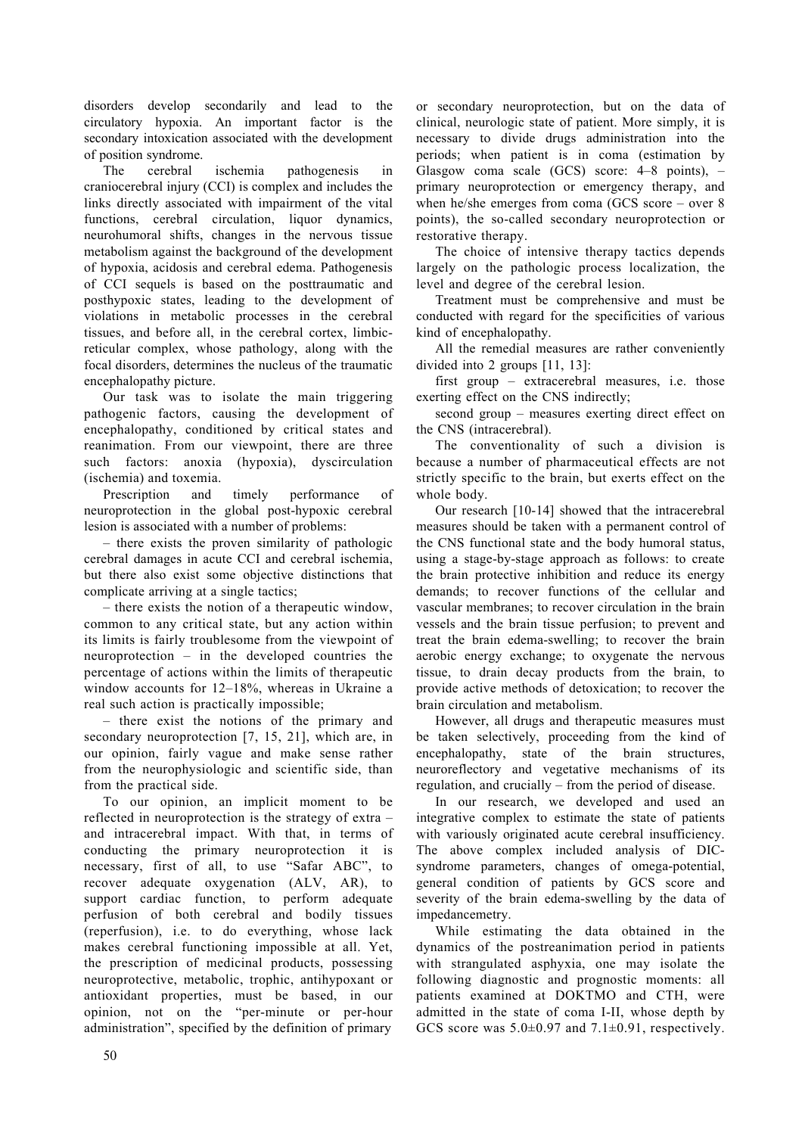LVHV HH VHFDL D HD  $H$ FLFD ILD LD IDF LV H VHFDL|LFDLDVVFLDHLHHHH **IVLLVH** 

**FHHD LVFHLD DHHVLV** L  $7H$ FDLFHHDL.LVFHIDLFHVH LV LHF DVVFLDH L LDLH I H LD **IFLV** FHHD FLFDL L DLFV **HD VLIV FDHV L H HV LVVH** HDLVDDLVHDFIHHHH IILD DFLVLV DFHHD HHD 3DHHVLV I, VHHV LV DVH H **VDDLFD** VILF VDHV HDL H HHH I LDLV L HDLF FHVVHV L H FHHD LVVHVD HIHD L H FHHD FH LLF HLFD FHI VH D D L H **IFD LVHVHHLHVHFHVIHDDLF HFHDDLFH** 

 $2$  DV DV LVDH H DL LHL DHLF IDFV FDVL H HHH I HFHD D FLL H FLLFD VDHV D HDLDL) LHL HH DH HH VF I DF V DIL ILD VFLFDL LVFHLDD [HLD  $\mathbf{I}$ 3HVFLL  $\Gamma$ LH **HIDFH** 

**HHFL L** H D VILF FHHD **HVLLVDVVFLDHLDHIHV** 

- there exists the proven similarity of pathologic cerebral damages in acute CCI and cerebral ischemia. but there also exist some oblective distinctions that complicate arriving at a single tactics:

- there exists the notion of a therapeutic window, common to any critical state, but any action within its limits is fairly troublesome from the viewpoint of neuroprotection – in the developed countries the percentage of actions within the limits of therapeutic window accounts for 12-18', whereas in Ukraine a real such action is practically impossible:

- there exist the notions of the primary and secondary neuroprotection [7, 15, 21], which are, in our opinion, fairly vague and make sense rather from the neurophysiologic and scientific side, than from the practical side.

To our opinion, an implicit moment to be reflected in neuroprotection is the strategy of extra – and intracerebral impact. With that, in terms of conducting the primary neuroprotection it is necessary, first of all, to use "Safar ABC", to recover adequate oxygenation (ALV, AR), to support cardiac function, to perform adequate perfusion of both cerebral and bodily tissues (reperfusion), i.e. to do everything, whose lack makes cerebral functioning impossible at all. Yet, the prescription of medicinal products, possessing neuroprotective, metabolic, trophic, antihypoxant or antioxidant properties, must be based, in our opinion, not on the "per-minute or per-hour administration", specified by the definition of primary

or secondary neuroprotection, but on the data of clinical, neurologic state of patient. More simply, it is necessary to divide drugs administration into the periods; when patient is in coma (estimation by Glasgow coma scale  $(GCS)$  score: 4–8 points), – primary neuroprotection or emergency therapy, and when he/she emerges from coma (GCS score – over  $8$ ) points), the so-called secondary neuroprotection or restorative therany.

The choice of intensive therapy tactics depends largely on the pathologic process localization, the level and degree of the cerebral lesion.

Treatment must be comprehensive and must be conducted with regard for the specificities of various kind of encephalopathy.

All the remedial measures are rather conveniently divided into 2 groups  $[11, 13]$ :

first group – extracerebral measures, i.e. those exerting effect on the CNS indirectly:

second group – measures exerting direct effect on the CNS (intracerebral).

The conventionality of such a division is because a number of pharmaceutical effects are not strictly specific to the brain, but exerts effect on the whole body.

Our research [10-14] showed that the intracerebral measures should be taken with a permanent control of the CNS functional state and the body humoral status. using a stage-by-stage approach as follows: to create the brain protective inhibition and reduce its energy demands: to recover functions of the cellular and vascular membranes: to recover circulation in the brain vessels and the brain tissue perfusion; to prevent and treat the brain edema-swelling; to recover the brain aerobic energy exchange; to oxygenate the nervous tissue, to drain decay products from the brain, to provide active methods of detoxication; to recover the brain circulation and metabolism.

However, all drugs and therapeutic measures must be taken selectively, proceeding from the kind of encephalopathy, state of the brain structures, neuroreflectory and vegetative mechanisms of its regulation, and crucially – from the period of disease.

In our research, we developed and used an integrative complex to estimate the state of patients with variously originated acute cerebral insufficiency. The above complex included analysis of DICsyndrome parameters, changes of omega-potential, general condition of patients by GCS score and severity of the brain edema-swelling by the data of impedancemetry.

While estimating the data obtained in the dynamics of the postreanimation period in patients with strangulated asphyxia, one may isolate the following diagnostic and prognostic moments: all patients examined at DOKTMO and CTH, were admitted in the state of coma I-II, whose depth by GCS score was  $5.0\pm0.97$  and  $7.1\pm0.91$ , respectively.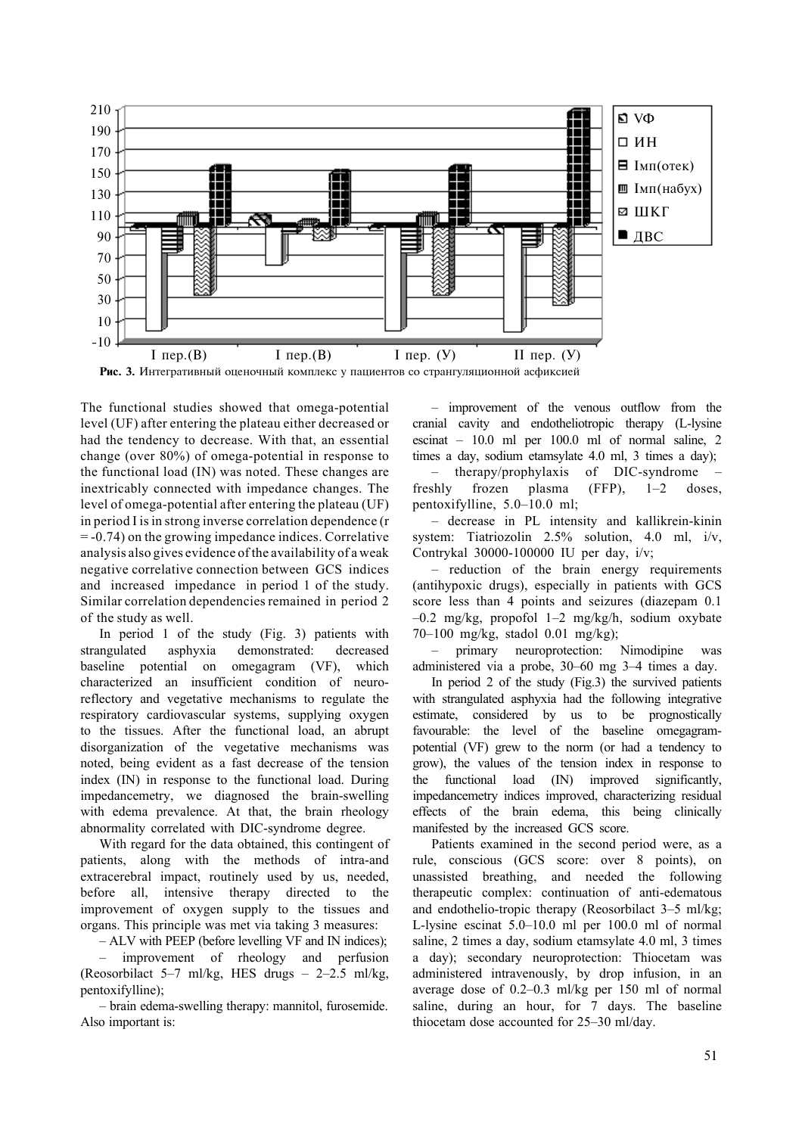

The functional studies showed that omega-potential level (UF) after entering the plateau either decreased or had the tendency to decrease. With that, an essential change (over 80%) of omega-potential in response to the functional load (IN) was noted. These changes are inextricably connected with impedance changes. The level of omega-potential after entering the plateau (UF) in period I is in strong inverse correlation dependence (r = -0.74) on the growing impedance indices. Correlative analysis also gives evidence of the availability of a weak negative correlative connection between GCS indices and increased impedance in period 1 of the study. Similar correlation dependencies remained in period 2 of the study as well.

In period 1 of the study (Fig. 3) patients with strangulated asphyxia demonstrated: decreased baseline potential on omegagram (VF), which characterized an insufficient condition of neuroreflectory and vegetative mechanisms to regulate the respiratory cardiovascular systems, supplying oxygen to the tissues. After the functional load, an abrupt disorganization of the vegetative mechanisms was noted, being evident as a fast decrease of the tension index (IN) in response to the functional load. During impedancemetry, we diagnosed the brain-swelling with edema prevalence. At that, the brain rheology abnormality correlated with DIC-syndrome degree.

With regard for the data obtained, this contingent of patients, along with the methods of intra-and extracerebral impact, routinely used by us, needed, before all, intensive therapy directed to the improvement of oxygen supply to the tissues and organs. This principle was met via taking 3 measures:

– ALV with PEEP (before levelling VF and IN indices);

– improvement of rheology and perfusion (Reosorbilact 5–7 ml/kg, HES drugs –  $2-2.5$  ml/kg, pentoxifylline);

– brain edema-swelling therapy: mannitol, furosemide. Also important is:

– improvement of the venous outflow from the cranial cavity and endotheliotropic therapy (L-lysine escinat – 10.0 ml per 100.0 ml of normal saline, 2 times a day, sodium etamsylate 4.0 ml, 3 times a day);

– therapy/prophylaxis of DIC-syndrome – freshly frozen plasma (FFP), 1–2 doses, pentoxifylline, 5.0–10.0 ml;

– decrease in PL intensity and kallikrein-kinin system: Tiatriozolin 2.5% solution, 4.0 ml, i/v, Contrykal 30000-100000 IU per day, i/v;

– reduction of the brain energy requirements (antihypoxic drugs), especially in patients with GCS score less than 4 points and seizures (diazepam 0.1 –0.2 mg/kg, propofol 1–2 mg/kg/h, sodium oxybate 70–100 mg/kg, stadol 0.01 mg/kg);

– primary neuroprotection: Nimodipine was administered via a probe, 30–60 mg 3–4 times a day.

In period 2 of the study (Fig.3) the survived patients with strangulated asphyxia had the following integrative estimate, considered by us to be prognostically favourable: the level of the baseline omegagrampotential (VF) grew to the norm (or had a tendency to grow), the values of the tension index in response to the functional load (IN) improved significantly, impedancemetry indices improved, characterizing residual effects of the brain edema, this being clinically manifested by the increased GCS score.

Patients examined in the second period were, as a rule, conscious (GCS score: over 8 points), on unassisted breathing, and needed the following therapeutic complex: continuation of anti-edematous and endothelio-tropic therapy (Reosorbilact 3–5 ml/kg; L-lysine escinat 5.0–10.0 ml per 100.0 ml of normal saline, 2 times a day, sodium etamsylate 4.0 ml, 3 times a day); secondary neuroprotection: Thiocetam was administered intravenously, by drop infusion, in an average dose of 0.2–0.3 ml/kg per 150 ml of normal saline, during an hour, for 7 days. The baseline thiocetam dose accounted for 25–30 ml/day.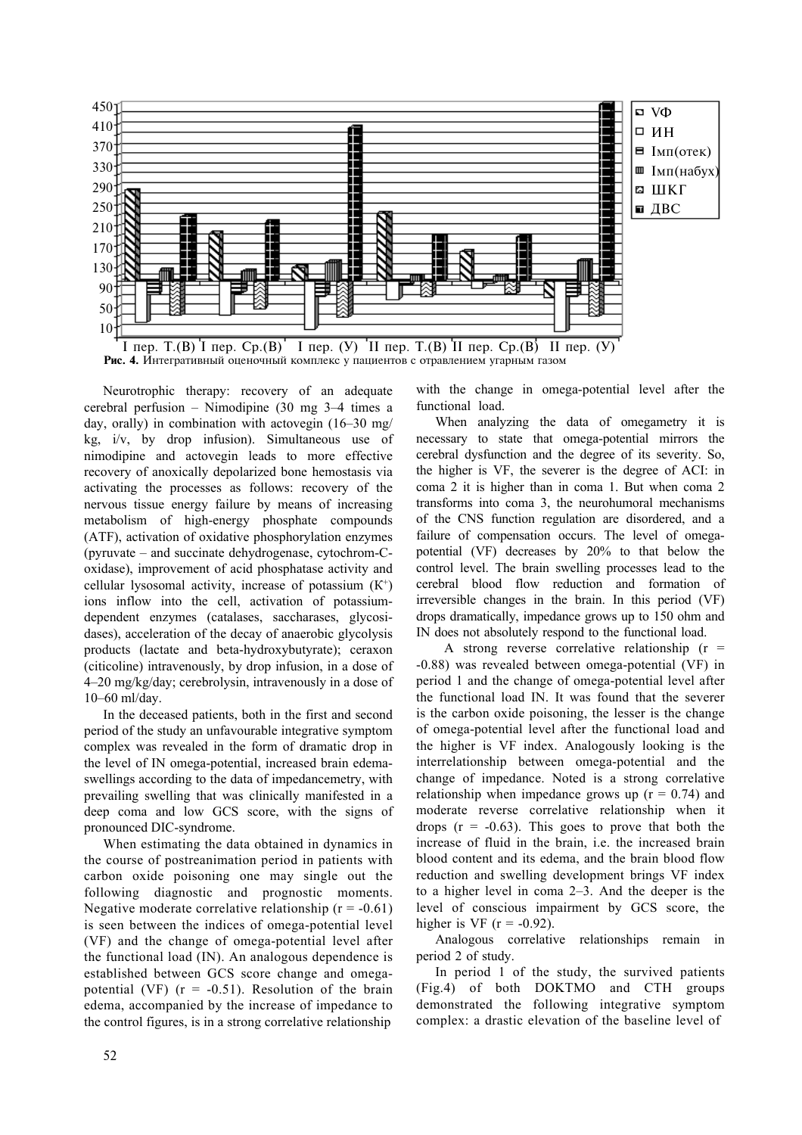

**Fig. 4.** Integrative estimative complex in patients with carbon oxide poisoning Neurotrophic therapy: recovery of an adequate

cerebral perfusion – Nimodipine (30 mg 3–4 times a day, orally) in combination with actovegin (16–30 mg/ kg, i/v, by drop infusion). Simultaneous use of nimodipine and actovegin leads to more effective recovery of anoxically depolarized bone hemostasis via activating the processes as follows: recovery of the nervous tissue energy failure by means of increasing metabolism of high-energy phosphate compounds (ATF), activation of oxidative phosphorylation enzymes (pyruvate – and succinate dehydrogenase, cytochrom-Сoxidase), improvement of acid phosphatase activity and cellular lysosomal activity, increase of potassium  $(K^+)$ ions inflow into the cell, activation of potassiumdependent enzymes (catalases, saccharases, glycosidases), acceleration of the decay of anaerobic glycolysis products (lactate and beta-hydroxybutyrate); ceraxon (citicoline) intravenously, by drop infusion, in a dose of 4–20 mg/kg/day; cerebrolysin, intravenously in a dose of 10–60 ml/day.

In the deceased patients, both in the first and second period of the study an unfavourable integrative symptom complex was revealed in the form of dramatic drop in the level of IN omega-potential, increased brain edemaswellings according to the data of impedancemetry, with prevailing swelling that was clinically manifested in a deep coma and low GCS score, with the signs of pronounced DIC-syndrome.

When estimating the data obtained in dynamics in the course of postreanimation period in patients with carbon oxide poisoning one may single out the following diagnostic and prognostic moments. Negative moderate correlative relationship  $(r = -0.61)$ is seen between the indices of omega-potential level (VF) and the change of omega-potential level after the functional load (IN). An analogous dependence is established between GCS score change and omegapotential (VF)  $(r = -0.51)$ . Resolution of the brain edema, accompanied by the increase of impedance to the control figures, is in a strong correlative relationship

with the change in omega-potential level after the functional load.

When analyzing the data of omegametry it is necessary to state that omega-potential mirrors the cerebral dysfunction and the degree of its severity. So, the higher is VF, the severer is the degree of ACI: in coma 2 it is higher than in coma 1. But when coma 2 transforms into coma 3, the neurohumoral mechanisms of the CNS function regulation are disordered, and a failure of compensation occurs. The level of omegapotential (VF) decreases by 20% to that below the control level. The brain swelling processes lead to the cerebral blood flow reduction and formation of irreversible changes in the brain. In this period (VF) drops dramatically, impedance grows up to 150 ohm and IN does not absolutely respond to the functional load.

A strong reverse correlative relationship  $(r =$ -0.88) was revealed between omega-potential (VF) in period 1 and the change of omega-potential level after the functional load IN. It was found that the severer is the carbon oxide poisoning, the lesser is the change of omega-potential level after the functional load and the higher is VF index. Analogously looking is the interrelationship between omega-potential and the change of impedance. Noted is a strong correlative relationship when impedance grows up  $(r = 0.74)$  and moderate reverse correlative relationship when it drops  $(r = -0.63)$ . This goes to prove that both the increase of fluid in the brain, i.e. the increased brain blood content and its edema, and the brain blood flow reduction and swelling development brings VF index to a higher level in coma 2–3. And the deeper is the level of conscious impairment by GCS score, the higher is VF  $(r = -0.92)$ .

Analogous correlative relationships remain in period 2 of study.

In period 1 of the study, the survived patients (Fig.4) of both DOKTMO and CTH groups demonstrated the following integrative symptom complex: a drastic elevation of the baseline level of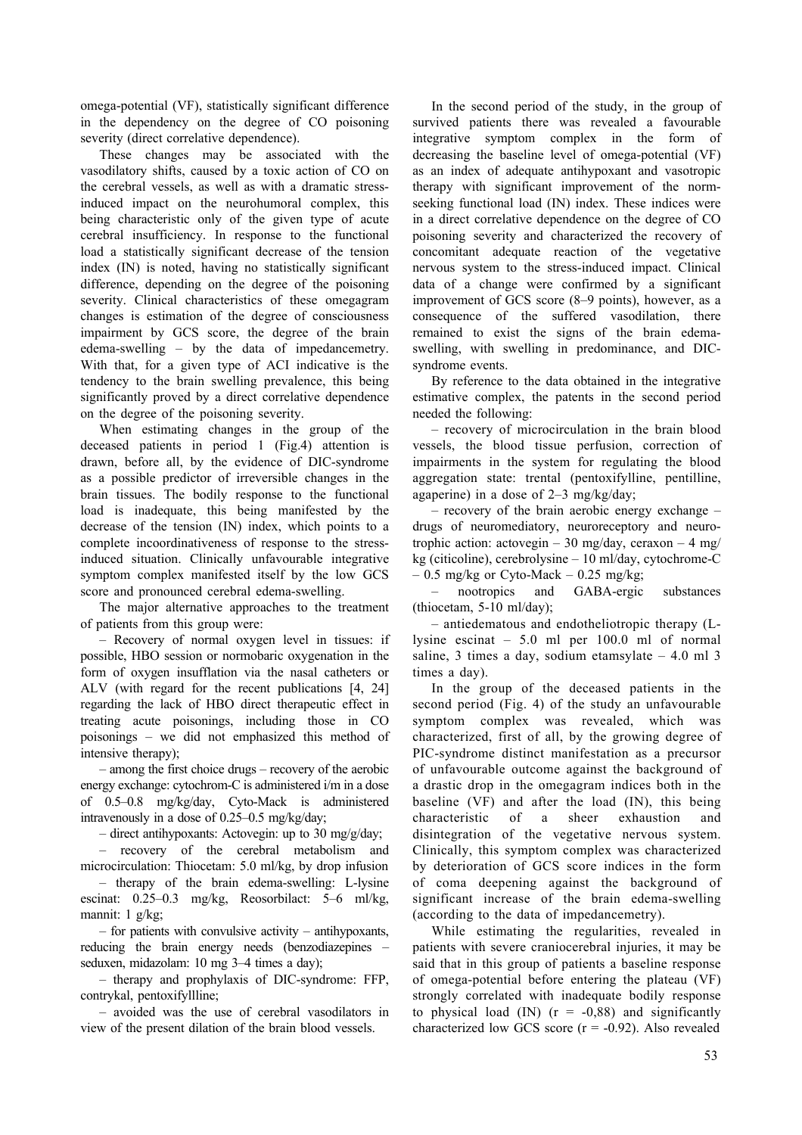omega-potential (VF), statistically significant difference in the dependency on the degree of CO poisoning severity (direct correlative dependence).

These changes may be associated with the vasodilatory shifts, caused by a toxic action of CO on the cerebral vessels, as well as with a dramatic stressinduced impact on the neurohumoral complex, this being characteristic only of the given type of acute cerebral insufficiency. In response to the functional load a statistically significant decrease of the tension index (IN) is noted, having no statistically significant difference, depending on the degree of the poisoning severity. Clinical characteristics of these omegagram changes is estimation of the degree of consciousness impairment by GCS score, the degree of the brain edema-swelling – by the data of impedancemetry. With that, for a given type of ACI indicative is the tendency to the brain swelling prevalence, this being significantly proved by a direct correlative dependence on the degree of the poisoning severity.

When estimating changes in the group of the deceased patients in period 1 (Fig.4) attention is drawn, before all, by the evidence of DIC-syndrome as a possible predictor of irreversible changes in the brain tissues. The bodily response to the functional load is inadequate, this being manifested by the decrease of the tension (IN) index, which points to a complete incoordinativeness of response to the stressinduced situation. Clinically unfavourable integrative symptom complex manifested itself by the low GCS score and pronounced cerebral edema-swelling.

The major alternative approaches to the treatment of patients from this group were:

– Recovery of normal oxygen level in tissues: if possible, HBO session or normobaric oxygenation in the form of oxygen insufflation via the nasal catheters or ALV (with regard for the recent publications [4, 24] regarding the lack of HBO direct therapeutic effect in treating acute poisonings, including those in CO poisonings – we did not emphasized this method of intensive therapy);

– among the first choice drugs – recovery of the aerobic energy exchange: cytochrom-С is administered i/m in a dose of 0.5–0.8 mg/kg/day, Cyto-Mack is administered intravenously in a dose of 0.25–0.5 mg/kg/day;

– direct antihypoxants: Actovegin: up to 30 mg/g/day;

– recovery of the cerebral metabolism and microcirculation: Thiocetam: 5.0 ml/kg, by drop infusion

– therapy of the brain edema-swelling: L-lysine escinat: 0.25–0.3 mg/kg, Reosorbilact: 5–6 ml/kg, mannit: 1 g/kg;

– for patients with convulsive activity – antihypoxants, reducing the brain energy needs (benzodiazepines – seduxen, midazolam: 10 mg 3–4 times a day);

– therapy and prophylaxis of DIC-syndrome: FFP, contrykal, pentoxifyllline;

– avoided was the use of cerebral vasodilators in view of the present dilation of the brain blood vessels.

In the second period of the study, in the group of survived patients there was revealed a favourable integrative symptom complex in the form of decreasing the baseline level of omega-potential (VF) as an index of adequate antihypoxant and vasotropic therapy with significant improvement of the normseeking functional load (IN) index. These indices were in a direct correlative dependence on the degree of CO poisoning severity and characterized the recovery of concomitant adequate reaction of the vegetative nervous system to the stress-induced impact. Clinical data of a change were confirmed by a significant improvement of GCS score (8–9 points), however, as a consequence of the suffered vasodilation, there remained to exist the signs of the brain edemaswelling, with swelling in predominance, and DICsyndrome events.

By reference to the data obtained in the integrative estimative complex, the patents in the second period needed the following:

– recovery of microcirculation in the brain blood vessels, the blood tissue perfusion, correction of impairments in the system for regulating the blood aggregation state: trental (pentoxifylline, pentilline, agaperine) in a dose of 2–3 mg/kg/day;

– recovery of the brain aerobic energy exchange – drugs of neuromediatory, neuroreceptory and neurotrophic action: actovegin – 30 mg/day, ceraxon – 4 mg/ kg (citicoline), cerebrolysine – 10 ml/day, cytochrome-С  $-0.5$  mg/kg or Cyto-Mack  $-0.25$  mg/kg;

– nootropics and GABA-ergic substances (thiocetam,  $5-10$  ml/day);

– antiedematous and endotheliotropic therapy (Llysine escinat – 5.0 ml per 100.0 ml of normal saline, 3 times a day, sodium etamsylate  $-4.0$  ml 3 times a day).

In the group of the deceased patients in the second period (Fig. 4) of the study an unfavourable symptom complex was revealed, which was characterized, first of all, by the growing degree of PIC-syndrome distinct manifestation as a precursor of unfavourable outcome against the background of a drastic drop in the omegagram indices both in the baseline (VF) and after the load (IN), this being characteristic of a sheer exhaustion and disintegration of the vegetative nervous system. Clinically, this symptom complex was characterized by deterioration of GCS score indices in the form of coma deepening against the background of significant increase of the brain edema-swelling (according to the data of impedancemetry).

While estimating the regularities, revealed in patients with severe craniocerebral injuries, it may be said that in this group of patients a baseline response of omega-potential before entering the plateau (VF) strongly correlated with inadequate bodily response to physical load (IN)  $(r = -0.88)$  and significantly characterized low GCS score  $(r = -0.92)$ . Also revealed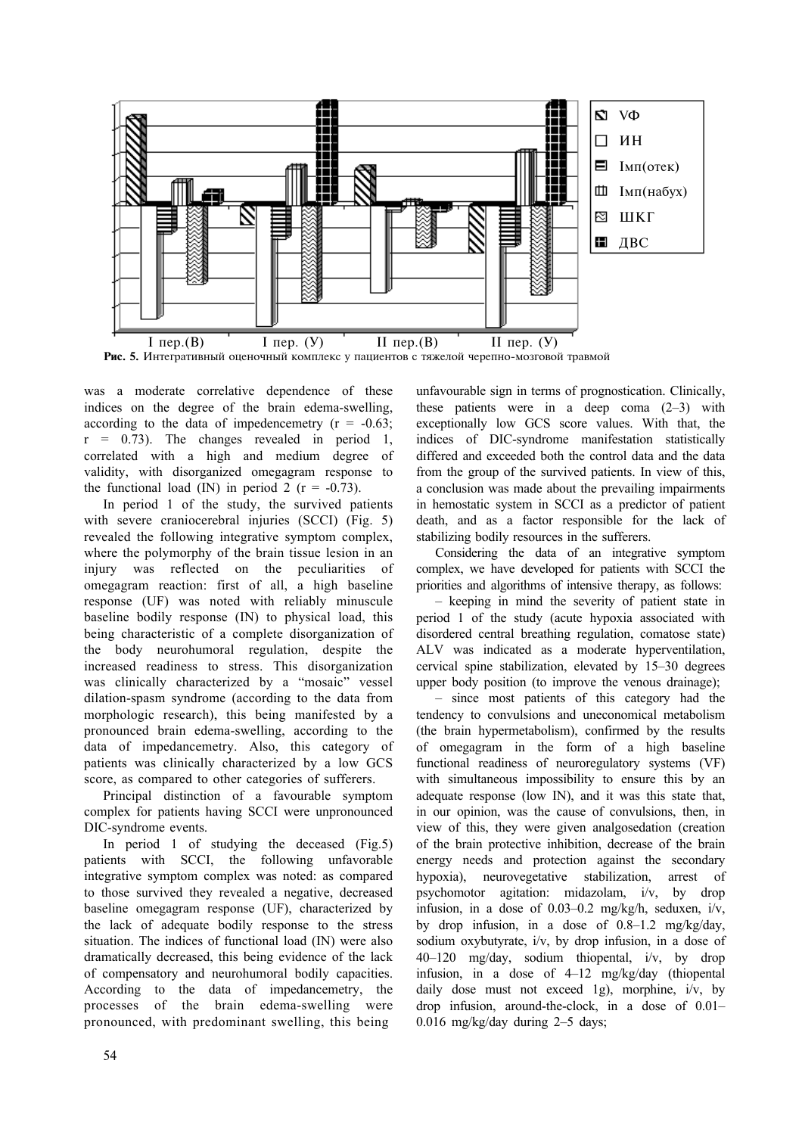

was a moderate correlative dependence of these indices on the degree of the brain edema-swelling, according to the data of impedencemetry  $(r = -0.63)$ ;  $r = 0.73$ ). The changes revealed in period 1, correlated with a high and medium degree of validity, with disorganized omegagram response to the functional load (IN) in period 2 ( $r = -0.73$ ).

In period 1 of the study, the survived patients with severe craniocerebral injuries (SCCI) (Fig. 5) revealed the following integrative symptom complex, where the polymorphy of the brain tissue lesion in an injury was reflected on the peculiarities of omegagram reaction: first of all, a high baseline response (UF) was noted with reliably minuscule baseline bodily response (IN) to physical load, this being characteristic of a complete disorganization of the body neurohumoral regulation, despite the increased readiness to stress. This disorganization was clinically characterized by a "mosaic" vessel dilation-spasm syndrome (according to the data from morphologic research), this being manifested by a pronounced brain edema-swelling, according to the data of impedancemetry. Also, this category of patients was clinically characterized by a low GCS score, as compared to other categories of sufferers.

Principal distinction of a favourable symptom complex for patients having SCCI were unpronounced DIC-syndrome events.

In period 1 of studying the deceased (Fig.5) patients with SCCI, the following unfavorable integrative symptom complex was noted: as compared to those survived they revealed a negative, decreased baseline omegagram response (UF), characterized by the lack of adequate bodily response to the stress situation. The indices of functional load (IN) were also dramatically decreased, this being evidence of the lack of compensatory and neurohumoral bodily capacities. According to the data of impedancemetry, the processes of the brain edema-swelling were pronounced, with predominant swelling, this being

unfavourable sign in terms of prognostication. Clinically, these patients were in a deep coma  $(2-3)$  with exceptionally low GCS score values. With that, the indices of DIC-syndrome manifestation statistically differed and exceeded both the control data and the data from the group of the survived patients. In view of this, a conclusion was made about the prevailing impairments in hemostatic system in SCCI as a predictor of patient death, and as a factor responsible for the lack of stabilizing bodily resources in the sufferers.

Considering the data of an integrative symptom complex, we have developed for patients with SCCI the priorities and algorithms of intensive therapy, as follows:

– keeping in mind the severity of patient state in period 1 of the study (acute hypoxia associated with disordered central breathing regulation, comatose state) ALV was indicated as a moderate hyperventilation, cervical spine stabilization, elevated by 15–30 degrees upper body position (to improve the venous drainage);

– since most patients of this category had the tendency to convulsions and uneconomical metabolism (the brain hypermetabolism), confirmed by the results of omegagram in the form of a high baseline functional readiness of neuroregulatory systems (VF) with simultaneous impossibility to ensure this by an adequate response (low IN), and it was this state that, in our opinion, was the cause of convulsions, then, in view of this, they were given analgosedation (creation of the brain protective inhibition, decrease of the brain energy needs and protection against the secondary hypoxia), neurovegetative stabilization, arrest of psychomotor agitation: midazolam, i/v, by drop infusion, in a dose of 0.03–0.2 mg/kg/h, seduxen, i/v, by drop infusion, in a dose of 0.8–1.2 mg/kg/day, sodium oxybutyrate, i/v, by drop infusion, in a dose of 40–120 mg/day, sodium thiopental, i/v, by drop infusion, in a dose of 4–12 mg/kg/day (thiopental daily dose must not exceed 1g), morphine, i/v, by drop infusion, around-the-clock, in a dose of 0.01– 0.016 mg/kg/day during 2–5 days;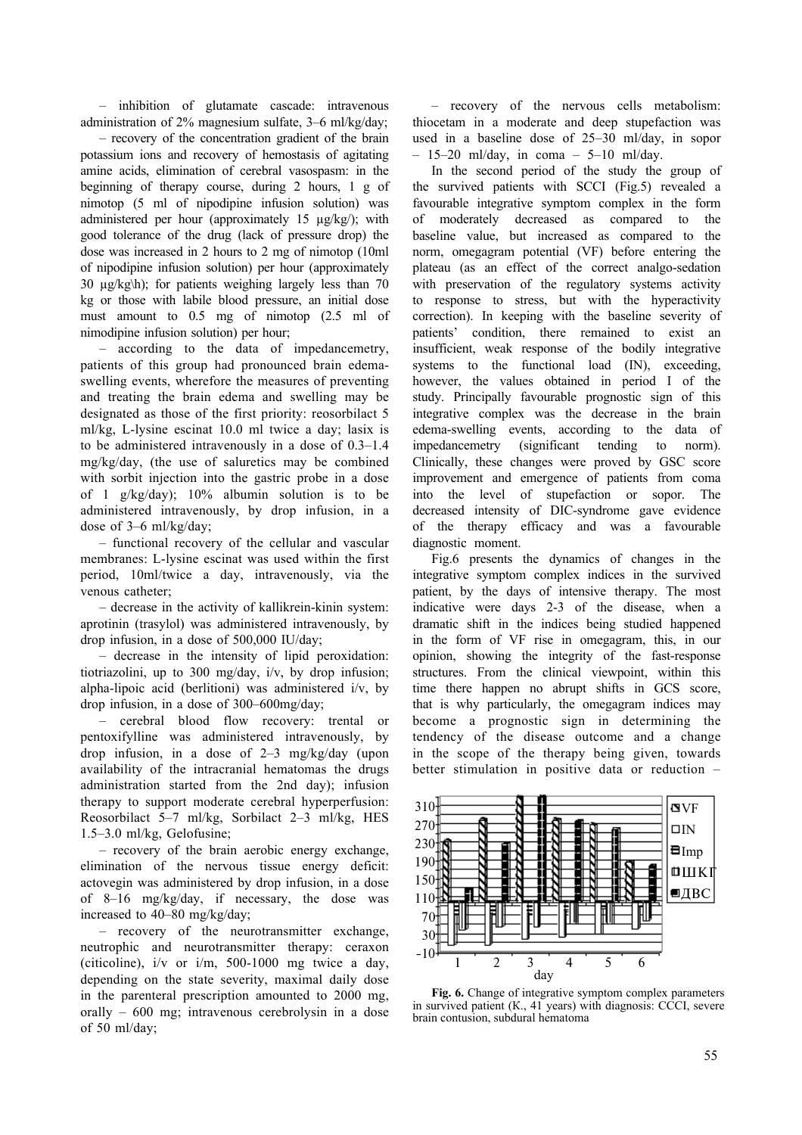– inhibition of glutamate cascade: intravenous administration of 2% magnesium sulfate, 3–6 ml/kg/day;

– recovery of the concentration gradient of the brain potassium ions and recovery of hemostasis of agitating amine acids, elimination of cerebral vasospasm: in the beginning of therapy course, during 2 hours, 1 g of nimotop (5 ml of nipodipine infusion solution) was administered per hour (approximately 15 µg/kg/); with good tolerance of the drug (lack of pressure drop) the dose was increased in 2 hours to 2 mg of nimotop (10ml of nipodipine infusion solution) per hour (approximately 30 µg/kg\h); for patients weighing largely less than 70 kg or those with labile blood pressure, an initial dose must amount to 0.5 mg of nimotop (2.5 ml of nimodipine infusion solution) per hour;

– according to the data of impedancemetry, patients of this group had pronounced brain edemaswelling events, wherefore the measures of preventing and treating the brain edema and swelling may be designated as those of the first priority: reosorbilact 5 ml/kg, L-lysine escinat 10.0 ml twice a day; lasix is to be administered intravenously in a dose of 0.3–1.4 mg/kg/day, (the use of saluretics may be combined with sorbit injection into the gastric probe in a dose of 1 g/kg/day); 10% albumin solution is to be administered intravenously, by drop infusion, in a dose of 3–6 ml/kg/day;

– functional recovery of the cellular and vascular membranes: L-lysine escinat was used within the first period, 10ml/twice a day, intravenously, via the venous catheter;

– decrease in the activity of kallikrein-kinin system: aprotinin (trasylol) was administered intravenously, by drop infusion, in a dose of 500,000 IU/day;

– decrease in the intensity of lipid peroxidation: tiotriazolini, up to 300 mg/day, i/v, by drop infusion; alpha-lipoic acid (berlitioni) was administered i/v, by drop infusion, in a dose of 300–600mg/day;

– cerebral blood flow recovery: trental or pentoxifylline was administered intravenously, by drop infusion, in a dose of 2–3 mg/kg/day (upon availability of the intracranial hematomas the drugs administration started from the 2nd day); infusion therapy to support moderate cerebral hyperperfusion: Reosorbilact 5–7 ml/kg, Sorbilact 2–3 ml/kg, HES 1.5–3.0 ml/kg, Gelofusine;

– recovery of the brain aerobic energy exchange, elimination of the nervous tissue energy deficit: actovegin was administered by drop infusion, in a dose of 8–16 mg/kg/day, if necessary, the dose was increased to 40–80 mg/kg/day;

– recovery of the neurotransmitter exchange, neutrophic and neurotransmitter therapy: ceraxon (citicoline), i/v or i/m, 500-1000 mg twice a day, depending on the state severity, maximal daily dose in the parenteral prescription amounted to 2000 mg, orally – 600 mg; intravenous cerebrolysin in a dose of 50 ml/day;

– recovery of the nervous cells metabolism: thiocetam in a moderate and deep stupefaction was used in a baseline dose of 25–30 ml/day, in sopor  $- 15-20$  ml/day, in coma  $- 5-10$  ml/day.

In the second period of the study the group of the survived patients with SCCI (Fig.5) revealed a favourable integrative symptom complex in the form of moderately decreased as compared to the baseline value, but increased as compared to the norm, omegagram potential (VF) before entering the plateau (as an effect of the correct analgo-sedation with preservation of the regulatory systems activity to response to stress, but with the hyperactivity correction). In keeping with the baseline severity of patients' condition, there remained to exist an insufficient, weak response of the bodily integrative systems to the functional load (IN), exceeding, however, the values obtained in period I of the study. Principally favourable prognostic sign of this integrative complex was the decrease in the brain edema-swelling events, according to the data of impedancemetry (significant tending to norm). Clinically, these changes were proved by GSC score improvement and emergence of patients from coma into the level of stupefaction or sopor. The decreased intensity of DIC-syndrome gave evidence of the therapy efficacy and was a favourable diagnostic moment.

Fig.6 presents the dynamics of changes in the integrative symptom complex indices in the survived patient, by the days of intensive therapy. The most indicative were days 2-3 of the disease, when a dramatic shift in the indices being studied happened in the form of VF rise in omegagram, this, in our opinion, showing the integrity of the fast-response structures. From the clinical viewpoint, within this time there happen no abrupt shifts in GCS score, that is why particularly, the omegagram indices may become a prognostic sign in determining the tendency of the disease outcome and a change in the scope of the therapy being given, towards better stimulation in positive data or reduction –



**Fig. 6.** Change of integrative symptom complex parameters in survived patient (К., 41 years) with diagnosis: CCCI, severe brain contusion, subdural hematoma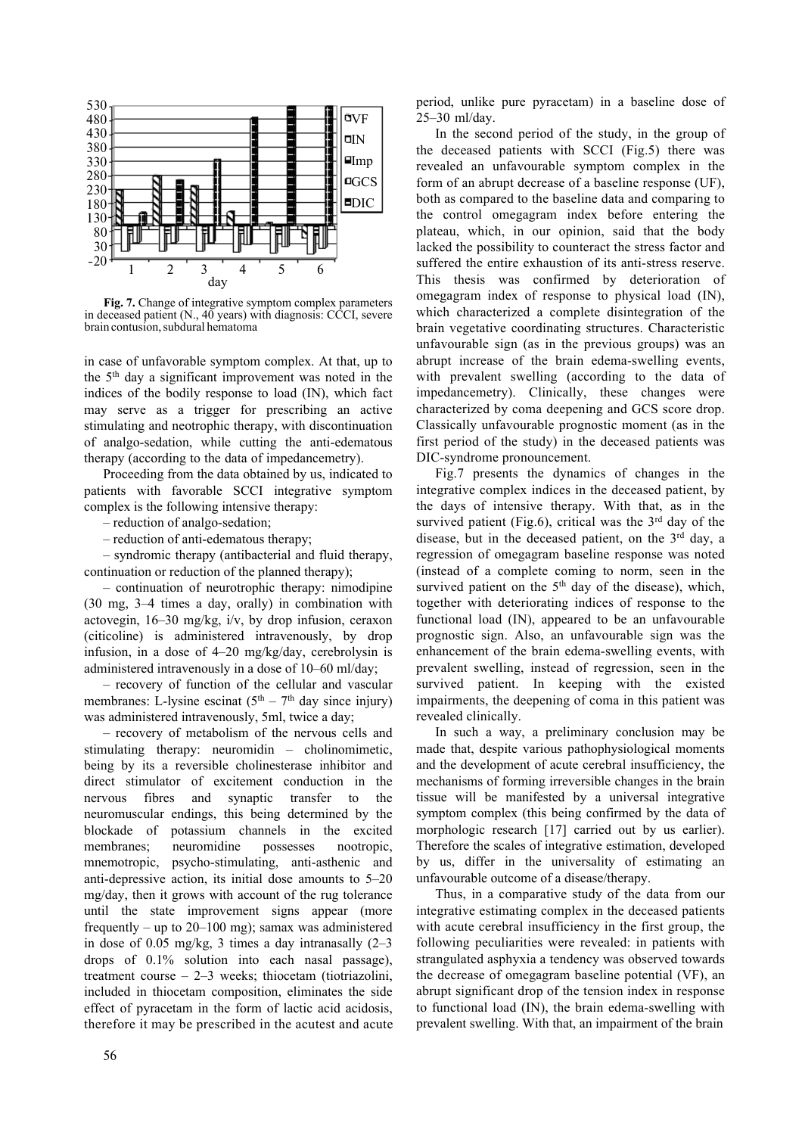

Fig. 7. Change of integrative symptom complex parameters in deceased patient  $(N, 40 \text{ years})$  with diagnosis: CCCI, severe brain contusion, subdural hematoma

in case of unfavorable symptom complex. At that, up to the 5th day a significant improvement was noted in the indices of the bodily response to load (IN), which fact may serve as a trigger for prescribing an active stimulating and neotrophic therapy, with discontinuation of analgo-sedation, while cutting the anti-edematous therapy (according to the data of impedancemetry).

Proceeding from the data obtained by us, indicated to patients with favorable SCCI integrative symptom complex is the following intensive therapy:

– reduction of analgo-sedation;

– reduction of anti-edematous therapy;

– syndromic therapy (antibacterial and fluid therapy, continuation or reduction of the planned therapy);

– continuation of neurotrophic therapy: nimodipine (30 mg, 3–4 times a day, orally) in combination with actovegin, 16–30 mg/kg, i/v, by drop infusion, ceraxon (citicoline) is administered intravenously, by drop infusion, in a dose of 4–20 mg/kg/day, cerebrolysin is administered intravenously in a dose of 10–60 ml/day;

– recovery of function of the cellular and vascular membranes: L-lysine escinat  $(5<sup>th</sup> - 7<sup>th</sup>$  day since injury) was administered intravenously, 5ml, twice a day;

– recovery of metabolism of the nervous cells and stimulating therapy: neuromidin – cholinomimetic, being by its a reversible cholinesterase inhibitor and direct stimulator of excitement conduction in the nervous fibres and synaptic transfer to the neuromuscular endings, this being determined by the blockade of potassium channels in the excited membranes; neuromidine possesses nootropic, mnemotropic, psycho-stimulating, anti-asthenic and anti-depressive action, its initial dose amounts to 5–20 mg/day, then it grows with account of the rug tolerance until the state improvement signs appear (more frequently – up to  $20-100$  mg); samax was administered in dose of 0.05 mg/kg, 3 times a day intranasally (2–3 drops of 0.1% solution into each nasal passage), treatment course – 2–3 weeks; thiocetam (tiotriazolini, included in thiocetam composition, eliminates the side effect of pyracetam in the form of lactic acid acidosis, therefore it may be prescribed in the acutest and acute period, unlike pure pyracetam) in a baseline dose of 25–30 ml/day.

In the second period of the study, in the group of the deceased patients with SCCI (Fig.5) there was revealed an unfavourable symptom complex in the form of an abrupt decrease of a baseline response (UF), both as compared to the baseline data and comparing to the control omegagram index before entering the plateau, which, in our opinion, said that the body lacked the possibility to counteract the stress factor and suffered the entire exhaustion of its anti-stress reserve. This thesis was confirmed by deterioration of omegagram index of response to physical load (IN), which characterized a complete disintegration of the brain vegetative coordinating structures. Characteristic unfavourable sign (as in the previous groups) was an abrupt increase of the brain edema-swelling events, with prevalent swelling (according to the data of impedancemetry). Clinically, these changes were characterized by coma deepening and GCS score drop. Classically unfavourable prognostic moment (as in the first period of the study) in the deceased patients was DIC-syndrome pronouncement.

Fig.7 presents the dynamics of changes in the integrative complex indices in the deceased patient, by the days of intensive therapy. With that, as in the survived patient (Fig.6), critical was the  $3<sup>rd</sup>$  day of the disease, but in the deceased patient, on the 3<sup>rd</sup> day, a regression of omegagram baseline response was noted (instead of а complete coming to norm, seen in the survived patient on the  $5<sup>th</sup>$  day of the disease), which, together with deteriorating indices of response to the functional load (IN), appeared to be an unfavourable prognostic sign. Also, an unfavourable sign was the enhancement of the brain edema-swelling events, with prevalent swelling, instead of regression, seen in the survived patient. In keeping with the existed impairments, the deepening of coma in this patient was revealed clinically.

In such a way, a preliminary conclusion may be made that, despite various pathophysiological moments and the development of acute cerebral insufficiency, the mechanisms of forming irreversible changes in the brain tissue will be manifested by a universal integrative symptom complex (this being confirmed by the data of morphologic research [17] carried out by us earlier). Therefore the scales of integrative estimation, developed by us, differ in the universality of estimating an unfavourable outcome of a disease/therapy.

Thus, in a comparative study of the data from our integrative estimating complex in the deceased patients with acute cerebral insufficiency in the first group, the following peculiarities were revealed: in patients with strangulated asphyxia a tendency was observed towards the decrease of omegagram baseline potential (VF), an abrupt significant drop of the tension index in response to functional load (IN), the brain edema-swelling with prevalent swelling. With that, an impairment of the brain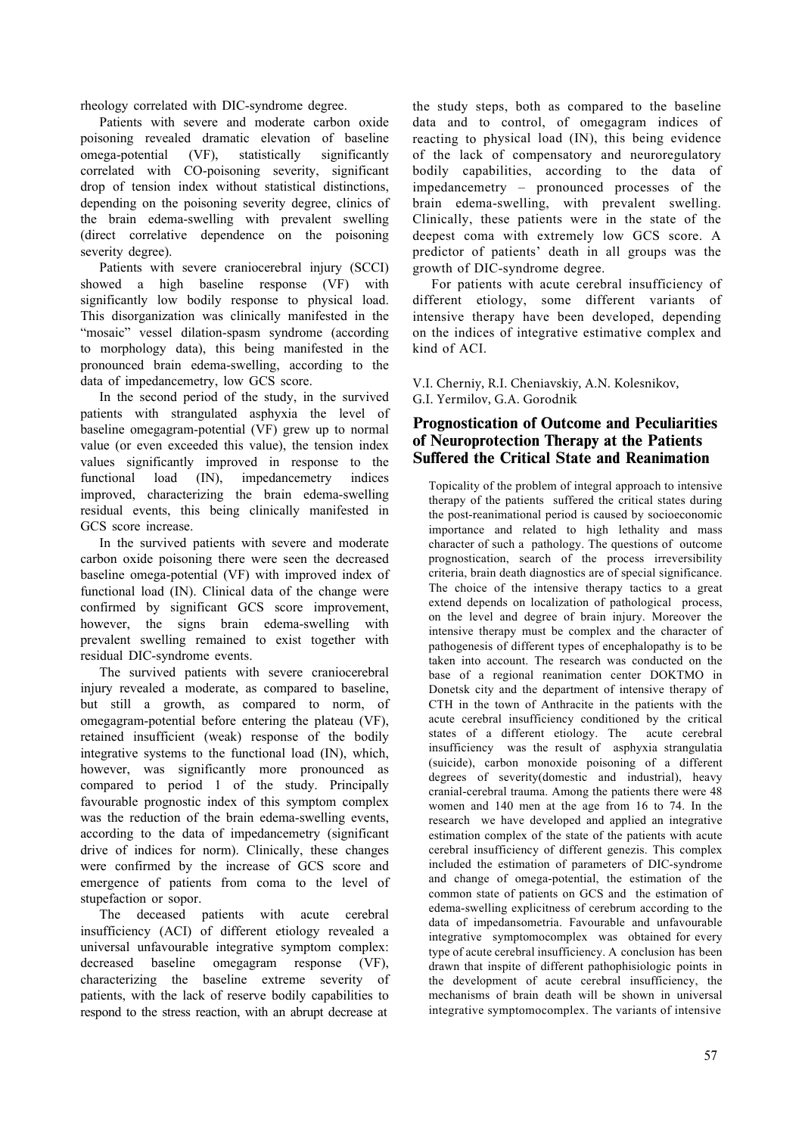rheology correlated with DIC-syndrome degree.

Patients with severe and moderate carbon oxide poisoning revealed dramatic elevation of baseline omega-potential (VF), statistically significantly correlated with CO-poisoning severity, significant drop of tension index without statistical distinctions, depending on the poisoning severity degree, clinics of the brain edema-swelling with prevalent swelling (direct correlative dependence on the poisoning severity degree).

Patients with severe craniocerebral injury (SCCI) showed a high baseline response (VF) with significantly low bodily response to physical load. This disorganization was clinically manifested in the "mosaic" vessel dilation-spasm syndrome (according to morphology data), this being manifested in the pronounced brain edema-swelling, according to the data of impedancemetry, low GCS score.

In the second period of the study, in the survived patients with strangulated asphyxia the level of baseline omegagram-potential (VF) grew up to normal value (or even exceeded this value), the tension index values significantly improved in response to the functional load (IN), impedancemetry indices improved, characterizing the brain edema-swelling residual events, this being clinically manifested in GCS score increase.

In the survived patients with severe and moderate carbon oxide poisoning there were seen the decreased baseline omega-potential (VF) with improved index of functional load (IN). Clinical data of the change were confirmed by significant GCS score improvement, however, the signs brain edema-swelling with prevalent swelling remained to exist together with residual DIC-syndrome events.

The survived patients with severe craniocerebral injury revealed a moderate, as compared to baseline, but still a growth, as compared to norm, of omegagram-potential before entering the plateau (VF), retained insufficient (weak) response of the bodily integrative systems to the functional load (IN), which, however, was significantly more pronounced as compared to period 1 of the study. Principally favourable prognostic index of this symptom complex was the reduction of the brain edema-swelling events, according to the data of impedancemetry (significant drive of indices for norm). Clinically, these changes were confirmed by the increase of GCS score and emergence of patients from coma to the level of stupefaction or sopor.

The deceased patients with acute cerebral insufficiency (ACI) of different etiology revealed a universal unfavourable integrative symptom complex: decreased baseline omegagram response (VF), characterizing the baseline extreme severity of patients, with the lack of reserve bodily capabilities to respond to the stress reaction, with an abrupt decrease at

the study steps, both as compared to the baseline data and to control, of omegagram indices of reacting to physical load (IN), this being evidence of the lack of compensatory and neuroregulatory bodily capabilities, according to the data of impedancemetry – pronounced processes of the brain edema-swelling, with prevalent swelling. Clinically, these patients were in the state of the deepest coma with extremely low GCS score. A predictor of patients' death in all groups was the growth of DIC-syndrome degree.

For patients with acute cerebral insufficiency of different etiology, some different variants of intensive therapy have been developed, depending on the indices of integrative estimative complex and kind of ACI.

V.I. Cherniy, R.I. Cheniavskiy, A.N. Kolesnikov, G.I. Yermilov, G.A. Gorodnik

# Prognostication of Outcome and Peculiarities of Neuroprotection Therapy at the Patients Suffered the Critical State and Reanimation

Topicality of the problem of integral approach to intensive therapy of the patients suffered the critical states during the post-reanimational period is caused by socioeconomic importance and related to high lethality and mass character of such a pathology. The questions of outcome prognostication, search of the process irreversibility criteria, brain death diagnostics are of special significance. The choice of the intensive therapy tactics to a great extend depends on localization of pathological process, on the level and degree of brain injury. Moreover the intensive therapy must be complex and the character of pathogenesis of different types of encephalopathy is to be taken into account. The research was conducted on the base of a regional reanimation center DOKTMO in Donetsk city and the department of intensive therapy of CTH in the town of Anthracite in the patients with the acute cerebral insufficiency conditioned by the critical states of a different etiology. The acute cerebral insufficiency was the result of asphyxia strangulatia (suicide), carbon monoxide poisoning of a different degrees of severity(domestic and industrial), heavy cranial-cerebral trauma. Among the patients there were 48 women and 140 men at the age from 16 to 74. In the research we have developed and applied an integrative estimation complex of the state of the patients with acute cerebral insufficiency of different genezis. This complex included the estimation of parameters of DIС-syndrome and change of omega-potential, the estimation of the common state of patients on GCS and the estimation of edema-swelling explicitness of cerebrum according to the data of impedansometria. Favourable and unfavourable integrative symptomocomplex was obtained for every type of acute cerebral insufficiency. A conclusion has been drawn that inspite of different pathophisiologic points in the development of acute cerebral insufficiency, the mechanisms of brain death will be shown in universal integrative symptomocomplex. The variants of intensive